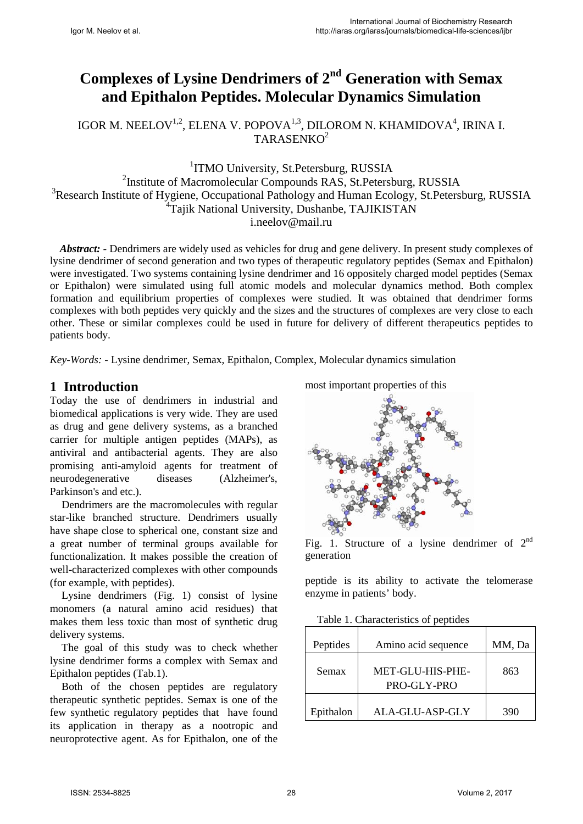# **Complexes of Lysine Dendrimers of 2nd Generation with Semax and Epithalon Peptides. Molecular Dynamics Simulation**

IGOR M. NEELOV<sup>1,2</sup>, ELENA V. POPOVA<sup>1,3</sup>, DILOROM N. KHAMIDOVA<sup>4</sup>, IRINA I. TARASENKO<sup>2</sup>

<sup>1</sup>ITMO University, St.Petersburg, RUSSIA <sup>2</sup>Institute of Macromolecular Compounds RAS, St.Petersburg, RUSSIA <sup>3</sup>Research Institute of Hygiene, Occupational Pathology and Human Ecology, St.Petersburg, RUSSIA <sup>4</sup>Tajik National University, Dushanbe, TAJIKISTAN i.neelov@mail.ru

*Abstract: -* Dendrimers are widely used as vehicles for drug and gene delivery. In present study complexes of lysine dendrimer of second generation and two types of therapeutic regulatory peptides (Semax and Epithalon) were investigated. Two systems containing lysine dendrimer and 16 oppositely charged model peptides (Semax or Epithalon) were simulated using full atomic models and molecular dynamics method. Both complex formation and equilibrium properties of complexes were studied. It was obtained that dendrimer forms complexes with both peptides very quickly and the sizes and the structures of complexes are very close to each other. These or similar complexes could be used in future for delivery of different therapeutics peptides to patients body.

*Key-Words: -* Lysine dendrimer, Semax, Epithalon, Complex, Molecular dynamics simulation

### **1 Introduction**

Today the use of dendrimers in industrial and biomedical applications is very wide. They are used as drug and gene delivery systems, as a branched carrier for multiple antigen peptides (MAPs), as antiviral and antibacterial agents. They are also promising anti-amyloid agents for treatment of neurodegenerative diseases (Alzheimer's, Parkinson's and etc.).

Dendrimers are the macromolecules with regular star-like branched structure. Dendrimers usually have shape close to spherical one, constant size and a great number of terminal groups available for functionalization. It makes possible the creation of well-characterized complexes with other compounds (for example, with peptides).

Lysine dendrimers (Fig. 1) consist of lysine monomers (a natural amino acid residues) that makes them less toxic than most of synthetic drug delivery systems.

The goal of this study was to check whether lysine dendrimer forms a complex with Semax and Epithalon peptides (Tab.1).

Both of the chosen peptides are regulatory therapeutic synthetic peptides. Semax is one of the few synthetic regulatory peptides that have found its application in therapy as a nootropic and neuroprotective agent. As for Epithalon, one of the most important properties of this



Fig. 1. Structure of a lysine dendrimer of  $2<sup>nd</sup>$ generation

peptide is its ability to activate the telomerase enzyme in patients' body.

Table 1. Characteristics of peptides

| Peptides  | Amino acid sequence             | MM, Da |
|-----------|---------------------------------|--------|
| Semax     | MET-GLU-HIS-PHE-<br>PRO-GLY-PRO | 863    |
| Epithalon | ALA-GLU-ASP-GLY                 | 390    |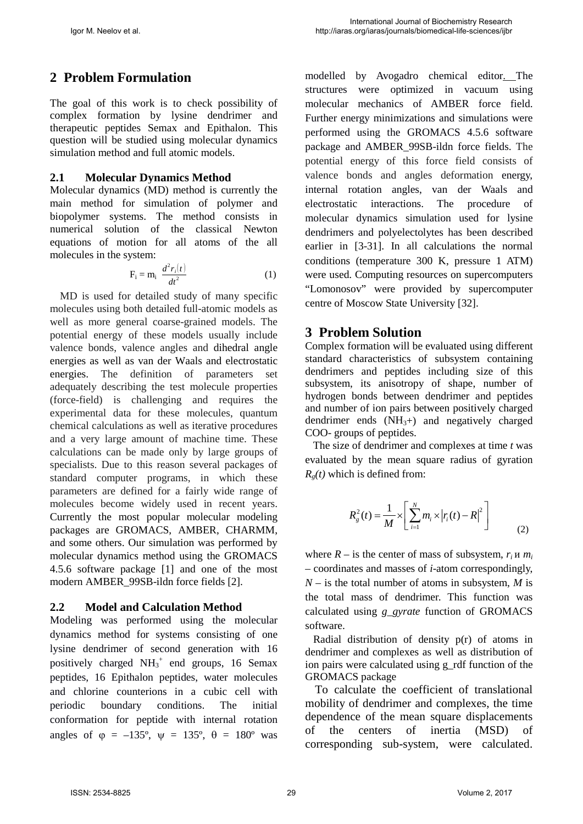## **2 Problem Formulation**

The goal of this work is to check possibility of complex formation by lysine dendrimer and therapeutic peptides Semax and Epithalon. This question will be studied using molecular dynamics simulation method and full atomic models.

#### **2.1 Molecular Dynamics Method**

Molecular dynamics (MD) method is currently the main method for simulation of polymer and biopolymer systems. The method consists in numerical solution of the classical Newton equations of motion for all atoms of the all molecules in the system:

$$
F_i = m_i \frac{d^2 r_i(t)}{dt^2}
$$
 (1)

MD is used for detailed study of many specific molecules using both detailed full-atomic models as well as more general coarse-grained models. The potential energy of these models usually include valence bonds, valence angles and dihedral angle energies as well as van der Waals and electrostatic energies. The definition of parameters set adequately describing the test molecule properties (force-field) is challenging and requires the experimental data for these molecules, quantum chemical calculations as well as iterative procedures and a very large amount of machine time. These calculations can be made only by large groups of specialists. Due to this reason several packages of standard computer programs, in which these parameters are defined for a fairly wide range of molecules become widely used in recent years. Currently the most popular molecular modeling packages are GROMACS, AMBER, CHARMM, and some others. Our simulation was performed by molecular dynamics method using the GROMACS 4.5.6 software package [1] and one of the most modern AMBER\_99SB-ildn force fields [2].

#### **2.2 Model and Calculation Method**

Modeling was performed using the molecular dynamics method for systems consisting of one lysine dendrimer of second generation with 16 positively charged  $NH_3^+$  end groups, 16 Semax peptides, 16 Epithalon peptides, water molecules and chlorine counterions in a cubic cell with periodic boundary conditions. The initial conformation for peptide with internal rotation angles of  $\varphi = -135^{\circ}$ ,  $\psi = 135^{\circ}$ ,  $\theta = 180^{\circ}$  was

modelled by Avogadro chemical editor. The structures were optimized in vacuum using molecular mechanics of AMBER force field. Further energy minimizations and simulations were performed using the GROMACS 4.5.6 software package and AMBER\_99SB-ildn force fields. The potential energy of this force field consists of valence bonds and angles deformation energy, internal rotation angles, van der Waals and electrostatic interactions. The procedure of molecular dynamics simulation used for lysine dendrimers and polyelectolytes has been described earlier in [3-31]. In all calculations the normal conditions (temperature 300 K, pressure 1 ATM) were used. Computing resources on supercomputers "Lomonosov" were provided by supercomputer centre of Moscow State University [32].

### **3 Problem Solution**

Complex formation will be evaluated using different standard characteristics of subsystem containing dendrimers and peptides including size of this subsystem, its anisotropy of shape, number of hydrogen bonds between dendrimer and peptides and number of ion pairs between positively charged dendrimer ends  $(NH<sub>3</sub>+)$  and negatively charged COO- groups of peptides.

 The size of dendrimer and complexes at time *t* was evaluated by the mean square radius of gyration  $R_g(t)$  which is defined from:

$$
R_g^2(t) = \frac{1}{M} \times \left[ \sum_{i=1}^{N} m_i \times |r_i(t) - R|^2 \right]
$$
 (2)

where  $R -$  is the center of mass of subsystem,  $r_i$  *u*  $m_i$ – coordinates and masses of *i*-atom correspondingly,  $N -$  is the total number of atoms in subsystem, *M* is the total mass of dendrimer. This function was calculated using *g\_gyrate* function of GROMACS software.

 Radial distribution of density p(r) of atoms in dendrimer and complexes as well as distribution of ion pairs were calculated using g\_rdf function of the GROMACS package

To calculate the coefficient of translational mobility of dendrimer and complexes, the time dependence of the mean square displacements of the centers of inertia (MSD) of corresponding sub-system, were calculated.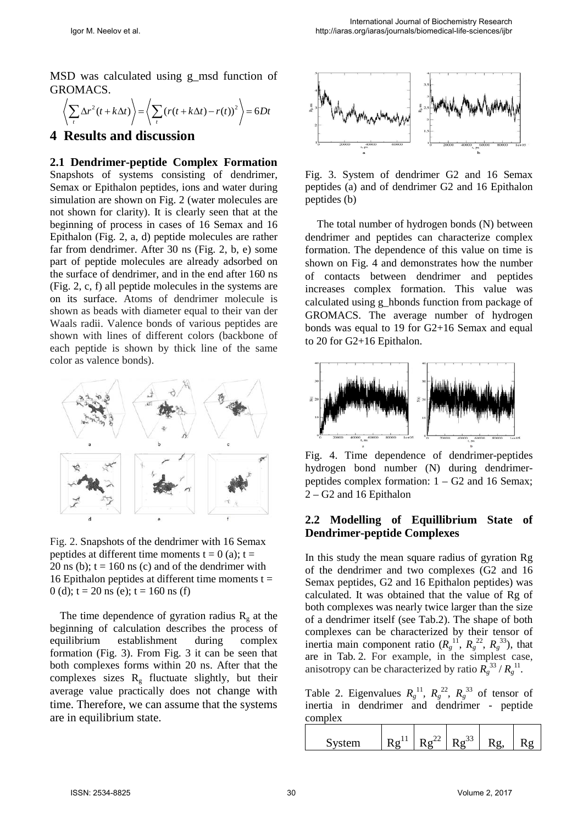MSD was calculated using g\_msd function of GROMACS.

$$
\left\langle \sum_{t} \Delta r^{2} (t + k \Delta t) \right\rangle = \left\langle \sum_{t} (r(t + k \Delta t) - r(t))^{2} \right\rangle = 6Dt
$$

#### **4 Results and discussion**

**2.1 Dendrimer-peptide Complex Formation**  Snapshots of systems consisting of dendrimer, Semax or Epithalon peptides, ions and water during simulation are shown on Fig. 2 (water molecules are not shown for clarity). It is clearly seen that at the beginning of process in cases of 16 Semax and 16 Epithalon (Fig. 2, a, d) peptide molecules are rather far from dendrimer. After 30 ns (Fig. 2, b, e) some part of peptide molecules are already adsorbed on the surface of dendrimer, and in the end after 160 ns (Fig. 2, c, f) all peptide molecules in the systems are on its surface. Atoms of dendrimer molecule is shown as beads with diameter equal to their van der Waals radii. Valence bonds of various peptides are shown with lines of different colors (backbone of each peptide is shown by thick line of the same color as valence bonds).



Fig. 2. Snapshots of the dendrimer with 16 Semax peptides at different time moments  $t = 0$  (a);  $t =$ 20 ns (b);  $t = 160$  ns (c) and of the dendrimer with 16 Epithalon peptides at different time moments  $t =$ 0 (d);  $t = 20$  ns (e);  $t = 160$  ns (f)

The time dependence of gyration radius  $R_{g}$  at the beginning of calculation describes the process of equilibrium establishment during complex formation (Fig. 3). From Fig. 3 it can be seen that both complexes forms within 20 ns. After that the complexes sizes  $R<sub>g</sub>$  fluctuate slightly, but their average value practically does not change with time. Therefore, we can assume that the systems are in equilibrium state.



Fig. 3. System of dendrimer G2 and 16 Semax peptides (a) and of dendrimer G2 and 16 Epithalon peptides (b)

The total number of hydrogen bonds (N) between dendrimer and peptides can characterize complex formation. The dependence of this value on time is shown on Fig. 4 and demonstrates how the number of contacts between dendrimer and peptides increases complex formation. This value was calculated using g\_hbonds function from package of GROMACS. The average number of hydrogen bonds was equal to 19 for G2+16 Semax and equal to 20 for G2+16 Epithalon.



Fig. 4. Time dependence of dendrimer-peptides hydrogen bond number (N) during dendrimerpeptides complex formation:  $1 - G2$  and 16 Semax; 2 – G2 and 16 Epithalon

#### **2.2 Modelling of Equillibrium State of Dendrimer-peptide Complexes**

In this study the mean square radius of gyration Rg of the dendrimer and two complexes (G2 and 16 Semax peptides, G2 and 16 Epithalon peptides) was calculated. It was obtained that the value of Rg of both complexes was nearly twice larger than the size of a dendrimer itself (see Tab.2). The shape of both complexes can be characterized by their tensor of inertia main component ratio  $(R<sub>g</sub><sup>11</sup>, R<sub>g</sub><sup>22</sup>, R<sub>g</sub><sup>33</sup>)$ , that are in Tab. 2. For example, in the simplest case, anisotropy can be characterized by ratio  $R_g^{33}/R_g^{11}$ .

Table 2. Eigenvalues  $R_g^{11}$ ,  $R_g^{22}$ ,  $R_g^{33}$  of tensor of inertia in dendrimer and dendrimer - peptide complex

|  | m<br>∼ |  |  | ۔ ' |  |  |
|--|--------|--|--|-----|--|--|
|--|--------|--|--|-----|--|--|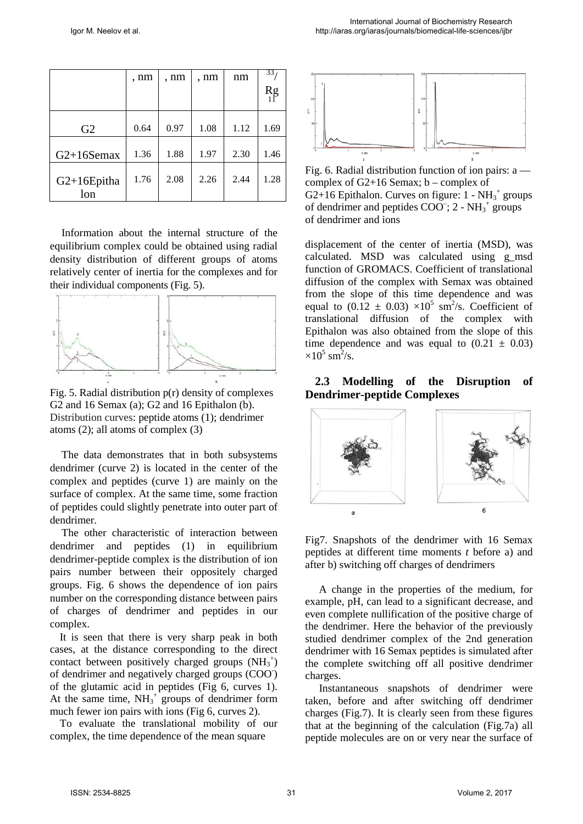|                       | , nm | , nm | , nm | nm   | 33                            |
|-----------------------|------|------|------|------|-------------------------------|
|                       |      |      |      |      | $\mathop{\rm Rg}\limits_{11}$ |
| G2                    | 0.64 | 0.97 | 1.08 | 1.12 | 1.69                          |
| $G2+16Semax$          | 1.36 | 1.88 | 1.97 | 2.30 | 1.46                          |
| $G2+16E$ pitha<br>lon | 1.76 | 2.08 | 2.26 | 2.44 | 1.28                          |

Information about the internal structure of the equilibrium complex could be obtained using radial density distribution of different groups of atoms relatively center of inertia for the complexes and for their individual components (Fig. 5).



Fig. 5. Radial distribution p(r) density of complexes G2 and 16 Semax (a); G2 and 16 Epithalon (b). Distribution curves: peptide atoms (1); dendrimer atoms (2); all atoms of complex (3)

The data demonstrates that in both subsystems dendrimer (curve 2) is located in the center of the complex and peptides (curve 1) are mainly on the surface of complex. At the same time, some fraction of peptides could slightly penetrate into outer part of dendrimer.

The other characteristic of interaction between dendrimer and peptides (1) in equilibrium dendrimer-peptide complex is the distribution of ion pairs number between their oppositely charged groups. Fig. 6 shows the dependence of ion pairs number on the corresponding distance between pairs of charges of dendrimer and peptides in our complex.

It is seen that there is very sharp peak in both cases, at the distance corresponding to the direct contact between positively charged groups  $(NH_3^+)$ of dendrimer and negatively charged groups (COO- ) of the glutamic acid in peptides (Fig 6, curves 1). At the same time,  $NH_3^+$  groups of dendrimer form much fewer ion pairs with ions (Fig 6, curves 2).

To evaluate the translational mobility of our complex, the time dependence of the mean square



Fig. 6. Radial distribution function of ion pairs: a –– complex of G2+16 Semax; b – complex of G2+16 Epithalon. Curves on figure:  $1 - NH_3^+$  groups of dendrimer and peptides  $COO^-$ ; 2 -  $NH_3^+$  groups of dendrimer and ions

displacement of the center of inertia (MSD), was calculated. MSD was calculated using g\_msd function of GROMACS. Coefficient of translational diffusion of the complex with Semax was obtained from the slope of this time dependence and was equal to  $(0.12 \pm 0.03) \times 10^5$  sm<sup>2</sup>/s. Coefficient of translational diffusion of the complex with Epithalon was also obtained from the slope of this time dependence and was equal to  $(0.21 \pm 0.03)$  $\times 10^5$  sm<sup>2</sup>/s.

#### **2.3 Modelling of the Disruption of Dendrimer-peptide Complexes**



Fig7. Snapshots of the dendrimer with 16 Semax peptides at different time moments *t* before a) and after b) switching off charges of dendrimers

A change in the properties of the medium, for example, pH, can lead to a significant decrease, and even complete nullification of the positive charge of the dendrimer. Here the behavior of the previously studied dendrimer complex of the 2nd generation dendrimer with 16 Semax peptides is simulated after the complete switching off all positive dendrimer charges.

 Instantaneous snapshots of dendrimer were taken, before and after switching off dendrimer charges (Fig.7). It is clearly seen from these figures that at the beginning of the calculation (Fig.7a) all peptide molecules are on or very near the surface of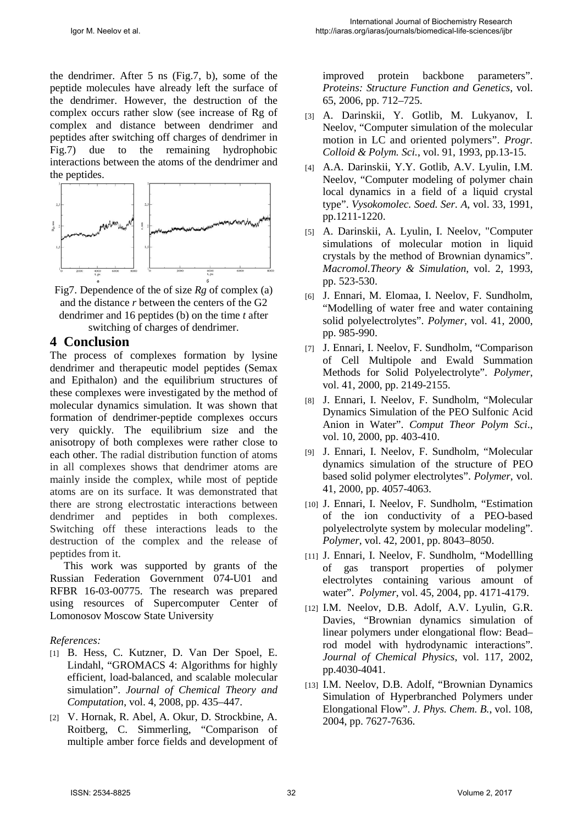the dendrimer. After 5 ns (Fig.7, b), some of the peptide molecules have already left the surface of the dendrimer. However, the destruction of the complex occurs rather slow (see increase of Rg of complex and distance between dendrimer and peptides after switching off charges of dendrimer in Fig.7) due to the remaining hydrophobic interactions between the atoms of the dendrimer and the peptides.



Fig7. Dependence of the of size *Rg* of complex (a) and the distance *r* between the centers of the G2 dendrimer and 16 peptides (b) on the time *t* after switching of charges of dendrimer.

#### **4 Conclusion**

The process of complexes formation by lysine dendrimer and therapeutic model peptides (Semax and Epithalon) and the equilibrium structures of these complexes were investigated by the method of molecular dynamics simulation. It was shown that formation of dendrimer-peptide complexes occurs very quickly. The equilibrium size and the anisotropy of both complexes were rather close to each other. The radial distribution function of atoms in all complexes shows that dendrimer atoms are mainly inside the complex, while most of peptide atoms are on its surface. It was demonstrated that there are strong electrostatic interactions between dendrimer and peptides in both complexes. Switching off these interactions leads to the destruction of the complex and the release of peptides from it.

This work was supported by grants of the Russian Federation Government 074-U01 and RFBR 16-03-00775. The research was prepared using resources of Supercomputer Center of Lomonosov Moscow State University

#### *References:*

- [1] B. Hess, C. Kutzner, D. Van Der Spoel, E. Lindahl, "GROMACS 4: Algorithms for highly efficient, load-balanced, and scalable molecular simulation". *Journal of Chemical Theory and Computation*, vol. 4, 2008, pp. 435–447.
- [2] V. Hornak, R. Abel, A. Okur, D. Strockbine, A. Roitberg, C. Simmerling, "Comparison of multiple amber force fields and development of

improved protein backbone parameters". *Proteins: Structure Function and Genetics*, vol. 65, 2006, pp. 712–725.

- [3] A. Darinskii, Y. Gotlib, M. Lukyanov, I. Neelov, "Computer simulation of the molecular motion in LC and oriented polymers". *Progr. Colloid & Polym. Sci.*, vol. 91, 1993, pp.13-15.
- [4] A.A. Darinskii, Y.Y. Gotlib, A.V. Lyulin, I.M. Neelov, "Computer modeling of polymer chain local dynamics in a field of a liquid crystal type". *Vysokomolec. Soed. Ser. A*, vol. 33, 1991, pp.1211-1220.
- [5] A. Darinskii, A. Lyulin, I. Neelov, "Computer simulations of molecular motion in liquid crystals by the method of Brownian dynamics". *Macromol.Theory & Simulation*, vol. 2, 1993, pp. 523-530.
- [6] J. Ennari, M. Elomaa, I. Neelov, F. Sundholm, "Modelling of water free and water containing solid polyelectrolytes". *Polymer*, vol. 41, 2000, pp. 985-990.
- [7] J. Ennari, I. Neelov, F. Sundholm, "Comparison of Cell Multipole and Ewald Summation Methods for Solid Polyelectrolyte". *Polymer*, vol. 41, 2000, pp. 2149-2155.
- [8] J. Ennari, I. Neelov, F. Sundholm, "Molecular Dynamics Simulation of the PEO Sulfonic Acid Anion in Water". *Comput Theor Polym Sci*., vol. 10, 2000, pp. 403-410.
- [9] J. Ennari, I. Neelov, F. Sundholm, "Molecular dynamics simulation of the structure of PEO based solid polymer electrolytes". *Polymer*, vol. 41, 2000, pp. 4057-4063.
- [10] J. Ennari, I. Neelov, F. Sundholm, "Estimation of the ion conductivity of a PEO-based polyelectrolyte system by molecular modeling". *Polymer*, vol. 42, 2001, pp. 8043–8050.
- [11] J. Ennari, I. Neelov, F. Sundholm, "Modellling of gas transport properties of polymer electrolytes containing various amount of water". *Polymer*, vol. 45, 2004, pp. 4171-4179.
- [12] I.M. Neelov, D.B. Adolf, A.V. Lyulin, G.R. Davies, "Brownian dynamics simulation of linear polymers under elongational flow: Bead– rod model with hydrodynamic interactions". *Journal of Chemical Physics*, vol. 117, 2002, pp.4030-4041.
- [13] I.M. Neelov, D.B. Adolf, "Brownian Dynamics Simulation of Hyperbranched Polymers under Elongational Flow". *J. Phys. Chem. B.*, vol. 108, 2004, pp. 7627-7636.